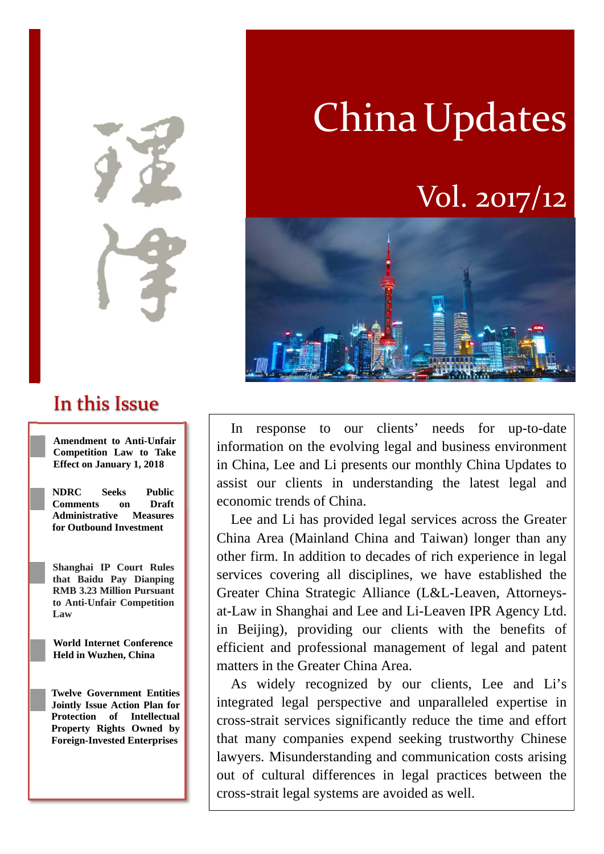In this Issue

**Amendment to Anti-Unfair Competition Law to Take Effect on January 1, 2018**

**NDRC Seeks Public Comments on Draft Administrative Measures for Outbound Investment** 

**Shanghai IP Court Rules that Baidu Pay Dianping RMB 3.23 Million Pursuant to Anti-Unfair Competition Law**

**World Internet Conference Held in Wuzhen, China**

**Twelve Government Entities Jointly Issue Action Plan for Protection of Intellectual Property Rights Owned by Foreign-Invested Enterprises** 

In response to our clients' needs for up-to-date information on the evolving legal and business environment in China, Lee and Li presents our monthly China Updates to assist our clients in understanding the latest legal and economic trends of China.

Lee and Li has provided legal services across the Greater China Area (Mainland China and Taiwan) longer than any other firm. In addition to decades of rich experience in legal services covering all disciplines, we have established the Greater China Strategic Alliance (L&L-Leaven, Attorneysat-Law in Shanghai and Lee and Li-Leaven IPR Agency Ltd. in Beijing), providing our clients with the benefits of efficient and professional management of legal and patent matters in the Greater China Area.

As widely recognized by our clients, Lee and Li's integrated legal perspective and unparalleled expertise in cross-strait services significantly reduce the time and effort that many companies expend seeking trustworthy Chinese lawyers. Misunderstanding and communication costs arising out of cultural differences in legal practices between the cross-strait legal systems are avoided as well.



# Vol. 2017/12

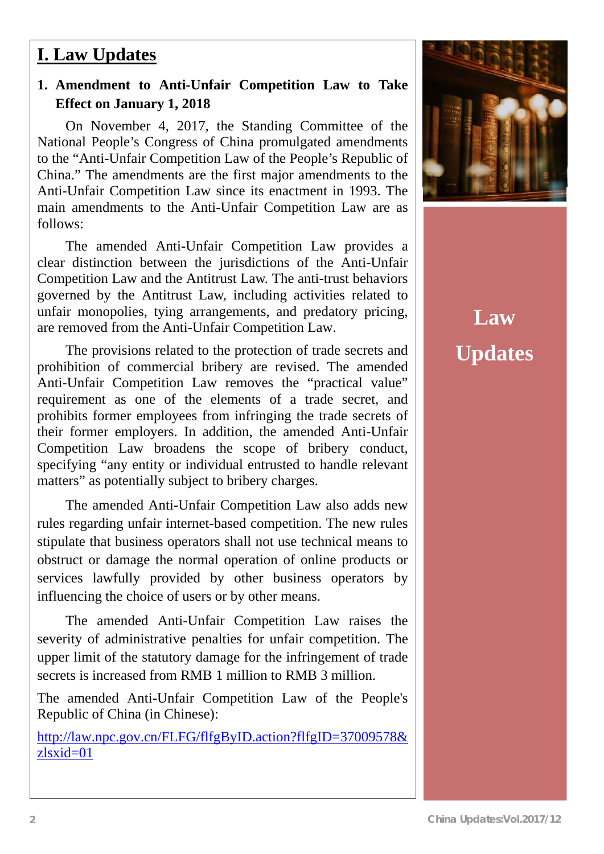### **I. Law Updates**

### **1. Amendment to Anti-Unfair Competition Law to Take Effect on January 1, 2018**

On November 4, 2017, the Standing Committee of the National People's Congress of China promulgated amendments to the "Anti-Unfair Competition Law of the People's Republic of China." The amendments are the first major amendments to the Anti-Unfair Competition Law since its enactment in 1993. The main amendments to the Anti-Unfair Competition Law are as follows:

The amended Anti-Unfair Competition Law provides a clear distinction between the jurisdictions of the Anti-Unfair Competition Law and the Antitrust Law. The anti-trust behaviors governed by the Antitrust Law, including activities related to unfair monopolies, tying arrangements, and predatory pricing, are removed from the Anti-Unfair Competition Law.

The provisions related to the protection of trade secrets and prohibition of commercial bribery are revised. The amended Anti-Unfair Competition Law removes the "practical value" requirement as one of the elements of a trade secret, and prohibits former employees from infringing the trade secrets of their former employers. In addition, the amended Anti-Unfair Competition Law broadens the scope of bribery conduct, specifying "any entity or individual entrusted to handle relevant matters" as potentially subject to bribery charges.

The amended Anti-Unfair Competition Law also adds new rules regarding unfair internet-based competition. The new rules stipulate that business operators shall not use technical means to obstruct or damage the normal operation of online products or services lawfully provided by other business operators by influencing the choice of users or by other means.

The amended Anti-Unfair Competition Law raises the severity of administrative penalties for unfair competition. The upper limit of the statutory damage for the infringement of trade secrets is increased from RMB 1 million to RMB 3 million.

The amended Anti-Unfair Competition Law of the People's Republic of China (in Chinese):

http://law.npc.gov.cn/FLFG/flfgByID.action?flfgID=37009578& zlsxid=01



**Law Updates**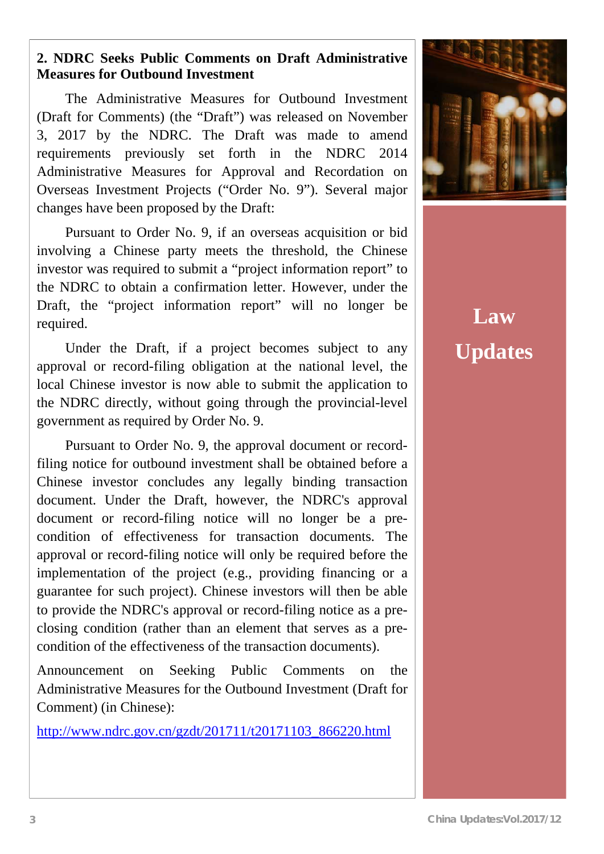### **2. NDRC Seeks Public Comments on Draft Administrative Measures for Outbound Investment**

The Administrative Measures for Outbound Investment (Draft for Comments) (the "Draft") was released on November 3, 2017 by the NDRC. The Draft was made to amend requirements previously set forth in the NDRC 2014 Administrative Measures for Approval and Recordation on Overseas Investment Projects ("Order No. 9"). Several major changes have been proposed by the Draft:

Pursuant to Order No. 9, if an overseas acquisition or bid involving a Chinese party meets the threshold, the Chinese investor was required to submit a "project information report" to the NDRC to obtain a confirmation letter. However, under the Draft, the "project information report" will no longer be required.

Under the Draft, if a project becomes subject to any approval or record-filing obligation at the national level, the local Chinese investor is now able to submit the application to the NDRC directly, without going through the provincial-level government as required by Order No. 9.

Pursuant to Order No. 9, the approval document or recordfiling notice for outbound investment shall be obtained before a Chinese investor concludes any legally binding transaction document. Under the Draft, however, the NDRC's approval document or record-filing notice will no longer be a precondition of effectiveness for transaction documents. The approval or record-filing notice will only be required before the implementation of the project (e.g., providing financing or a guarantee for such project). Chinese investors will then be able to provide the NDRC's approval or record-filing notice as a preclosing condition (rather than an element that serves as a precondition of the effectiveness of the transaction documents).

Announcement on Seeking Public Comments on the Administrative Measures for the Outbound Investment (Draft for Comment) (in Chinese):

http://www.ndrc.gov.cn/gzdt/201711/t20171103\_866220.html



**Law Updates**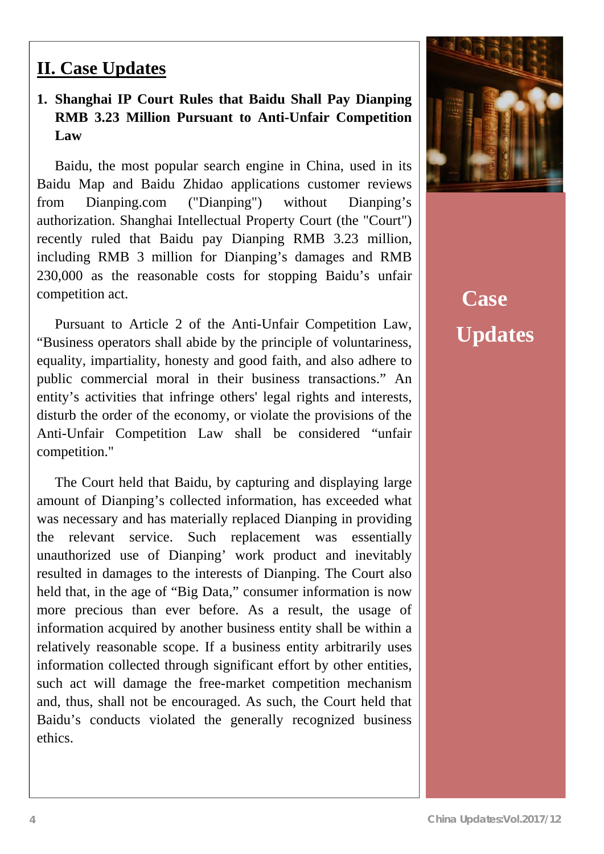### ? **II. Case Updates**

 $\overline{a}$ 

### **1. Shanghai IP Court Rules that Baidu Shall Pay Dianping RMB 3.23 Million Pursuant to Anti-Unfair Competition Law**

Baidu, the most popular search engine in China, used in its Baidu Map and Baidu Zhidao applications customer reviews from Dianping.com ("Dianping") without Dianping's authorization. Shanghai Intellectual Property Court (the "Court") recently ruled that Baidu pay Dianping RMB 3.23 million, including RMB 3 million for Dianping's damages and RMB 230,000 as the reasonable costs for stopping Baidu's unfair competition act.

Pursuant to Article 2 of the Anti-Unfair Competition Law, "Business operators shall abide by the principle of voluntariness, equality, impartiality, honesty and good faith, and also adhere to public commercial moral in their business transactions." An entity's activities that infringe others' legal rights and interests, disturb the order of the economy, or violate the provisions of the Anti-Unfair Competition Law shall be considered "unfair competition."

The Court held that Baidu, by capturing and displaying large amount of Dianping's collected information, has exceeded what was necessary and has materially replaced Dianping in providing the relevant service. Such replacement was essentially unauthorized use of Dianping' work product and inevitably resulted in damages to the interests of Dianping. The Court also held that, in the age of "Big Data," consumer information is now more precious than ever before. As a result, the usage of information acquired by another business entity shall be within a relatively reasonable scope. If a business entity arbitrarily uses information collected through significant effort by other entities, such act will damage the free-market competition mechanism and, thus, shall not be encouraged. As such, the Court held that Baidu's conducts violated the generally recognized business ethics.



## **Case Updates**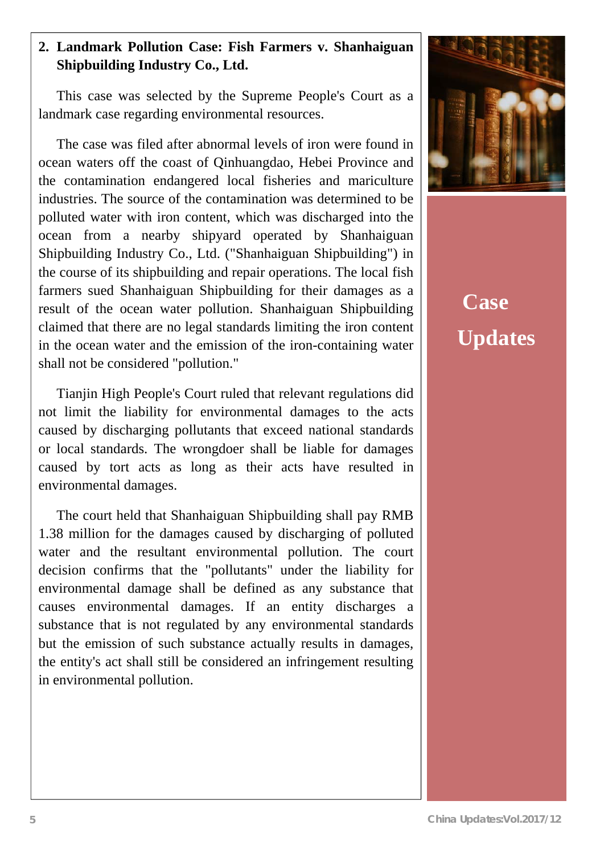### **2. Landmark Pollution Case: Fish Farmers v. Shanhaiguan Shipbuilding Industry Co., Ltd.**

This case was selected by the Supreme People's Court as a landmark case regarding environmental resources.

The case was filed after abnormal levels of iron were found in ocean waters off the coast of Qinhuangdao, Hebei Province and the contamination endangered local fisheries and mariculture industries. The source of the contamination was determined to be polluted water with iron content, which was discharged into the ocean from a nearby shipyard operated by Shanhaiguan Shipbuilding Industry Co., Ltd. ("Shanhaiguan Shipbuilding") in the course of its shipbuilding and repair operations. The local fish farmers sued Shanhaiguan Shipbuilding for their damages as a result of the ocean water pollution. Shanhaiguan Shipbuilding claimed that there are no legal standards limiting the iron content in the ocean water and the emission of the iron-containing water shall not be considered "pollution."

Tianjin High People's Court ruled that relevant regulations did not limit the liability for environmental damages to the acts caused by discharging pollutants that exceed national standards or local standards. The wrongdoer shall be liable for damages caused by tort acts as long as their acts have resulted in environmental damages.

The court held that Shanhaiguan Shipbuilding shall pay RMB 1.38 million for the damages caused by discharging of polluted water and the resultant environmental pollution. The court decision confirms that the "pollutants" under the liability for environmental damage shall be defined as any substance that causes environmental damages. If an entity discharges a substance that is not regulated by any environmental standards but the emission of such substance actually results in damages, the entity's act shall still be considered an infringement resulting in environmental pollution.



**Case Updates**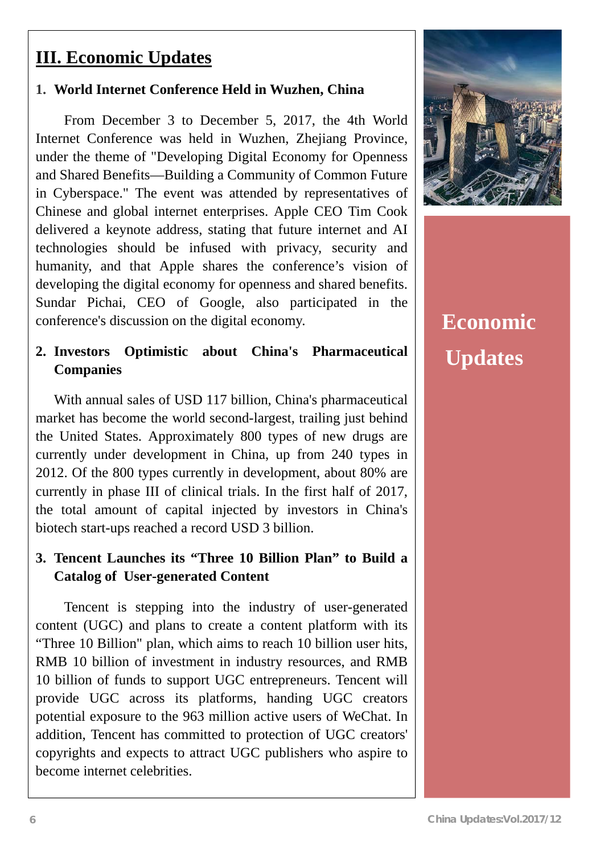### **III. Economic Updates**

#### **1. World Internet Conference Held in Wuzhen, China**

From December 3 to December 5, 2017, the 4th World Internet Conference was held in Wuzhen, Zhejiang Province, under the theme of "Developing Digital Economy for Openness and Shared Benefits—Building a Community of Common Future in Cyberspace." The event was attended by representatives of Chinese and global internet enterprises. Apple CEO Tim Cook delivered a keynote address, stating that future internet and AI technologies should be infused with privacy, security and humanity, and that Apple shares the conference's vision of developing the digital economy for openness and shared benefits. Sundar Pichai, CEO of Google, also participated in the conference's discussion on the digital economy.

#### **2. Investors Optimistic about China's Pharmaceutical Companies**

With annual sales of USD 117 billion, China's pharmaceutical market has become the world second-largest, trailing just behind the United States. Approximately 800 types of new drugs are currently under development in China, up from 240 types in 2012. Of the 800 types currently in development, about 80% are currently in phase III of clinical trials. In the first half of 2017, the total amount of capital injected by investors in China's biotech start-ups reached a record USD 3 billion.

### **3. Tencent Launches its "Three 10 Billion Plan" to Build a Catalog of User-generated Content**

Tencent is stepping into the industry of user-generated content (UGC) and plans to create a content platform with its "Three 10 Billion" plan, which aims to reach 10 billion user hits, RMB 10 billion of investment in industry resources, and RMB 10 billion of funds to support UGC entrepreneurs. Tencent will provide UGC across its platforms, handing UGC creators potential exposure to the 963 million active users of WeChat. In addition, Tencent has committed to protection of UGC creators' copyrights and expects to attract UGC publishers who aspire to become internet celebrities.



## **Economic Updates**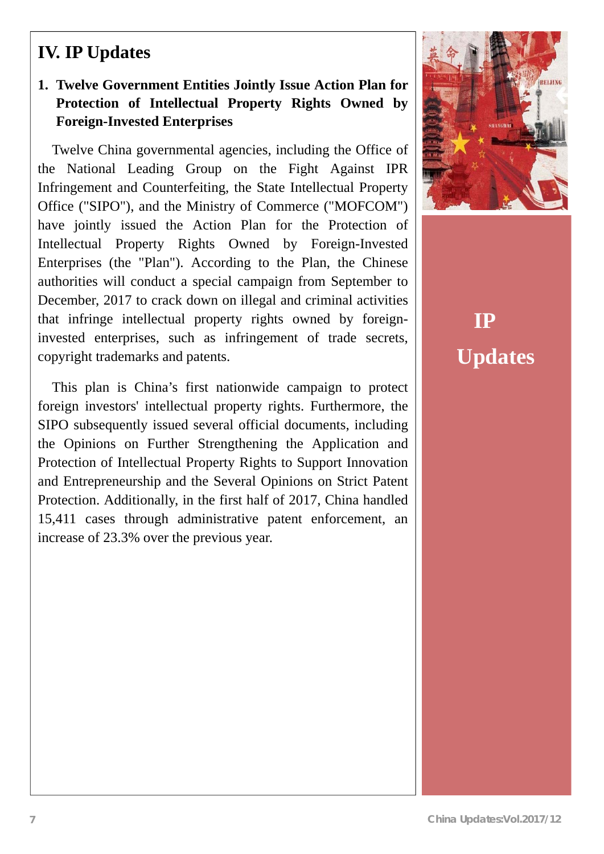### **IV. IP Updates**

### **1. Twelve Government Entities Jointly Issue Action Plan for Protection of Intellectual Property Rights Owned by Foreign-Invested Enterprises**

Twelve China governmental agencies, including the Office of the National Leading Group on the Fight Against IPR Infringement and Counterfeiting, the State Intellectual Property Office ("SIPO"), and the Ministry of Commerce ("MOFCOM") have jointly issued the Action Plan for the Protection of Intellectual Property Rights Owned by Foreign-Invested Enterprises (the "Plan"). According to the Plan, the Chinese authorities will conduct a special campaign from September to December, 2017 to crack down on illegal and criminal activities that infringe intellectual property rights owned by foreigninvested enterprises, such as infringement of trade secrets, copyright trademarks and patents.

This plan is China's first nationwide campaign to protect foreign investors' intellectual property rights. Furthermore, the SIPO subsequently issued several official documents, including the Opinions on Further Strengthening the Application and Protection of Intellectual Property Rights to Support Innovation and Entrepreneurship and the Several Opinions on Strict Patent Protection. Additionally, in the first half of 2017, China handled 15,411 cases through administrative patent enforcement, an increase of 23.3% over the previous year.



**IP Updates**